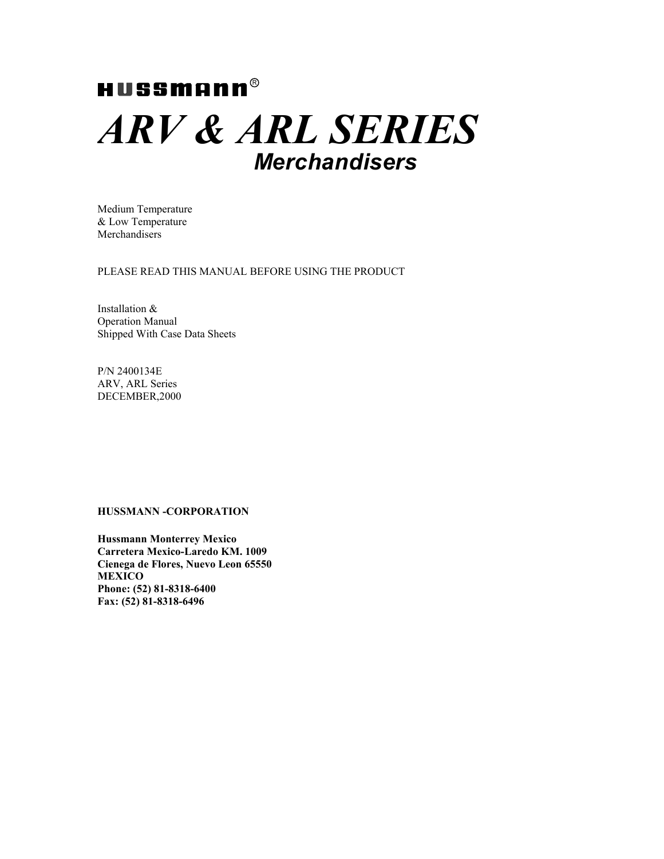# $HUSSMR$ *ARV & ARL SERIES Merchandisers*

Medium Temperature & Low Temperature **Merchandisers** 

PLEASE READ THIS MANUAL BEFORE USING THE PRODUCT

Installation & Operation Manual Shipped With Case Data Sheets

P/N 2400134E ARV, ARL Series DECEMBER,2000

### **HUSSMANN -CORPORATION**

**Hussmann Monterrey Mexico Carretera Mexico-Laredo KM. 1009 Cienega de Flores, Nuevo Leon 65550 MEXICO Phone: (52) 81-8318-6400 Fax: (52) 81-8318-6496**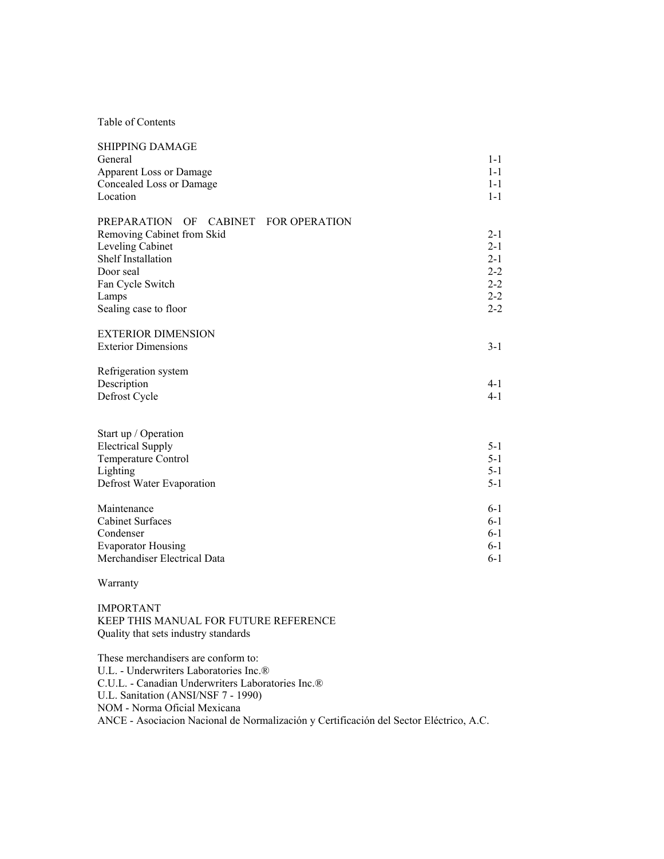Table of Contents

| <b>SHIPPING DAMAGE</b><br>General<br>Apparent Loss or Damage<br>Concealed Loss or Damage<br>Location                                                                                                | $1 - 1$<br>$1 - 1$<br>$1 - 1$<br>$1 - 1$                                  |
|-----------------------------------------------------------------------------------------------------------------------------------------------------------------------------------------------------|---------------------------------------------------------------------------|
| <b>PREPARATION</b><br>OF<br>CABINET FOR OPERATION<br>Removing Cabinet from Skid<br>Leveling Cabinet<br><b>Shelf Installation</b><br>Door seal<br>Fan Cycle Switch<br>Lamps<br>Sealing case to floor | $2 - 1$<br>$2 - 1$<br>$2 - 1$<br>$2 - 2$<br>$2 - 2$<br>$2 - 2$<br>$2 - 2$ |
| <b>EXTERIOR DIMENSION</b><br><b>Exterior Dimensions</b>                                                                                                                                             | $3 - 1$                                                                   |
| Refrigeration system<br>Description<br>Defrost Cycle                                                                                                                                                | $4 - 1$<br>$4 - 1$                                                        |
| Start up / Operation<br><b>Electrical Supply</b><br>Temperature Control<br>Lighting<br>Defrost Water Evaporation                                                                                    | $5 - 1$<br>$5 - 1$<br>$5 - 1$<br>$5 - 1$                                  |
| Maintenance<br><b>Cabinet Surfaces</b><br>Condenser<br><b>Evaporator Housing</b><br>Merchandiser Electrical Data                                                                                    | $6 - 1$<br>$6-1$<br>$6-1$<br>$6-1$<br>$6 - 1$                             |

### Warranty

IMPORTANT KEEP THIS MANUAL FOR FUTURE REFERENCE Quality that sets industry standards

These merchandisers are conform to: U.L. - Underwriters Laboratories Inc.® C.U.L. - Canadian Underwriters Laboratories Inc.® U.L. Sanitation (ANSI/NSF 7 - 1990) NOM - Norma Oficial Mexicana ANCE - Asociacion Nacional de Normalización y Certificación del Sector Eléctrico, A.C.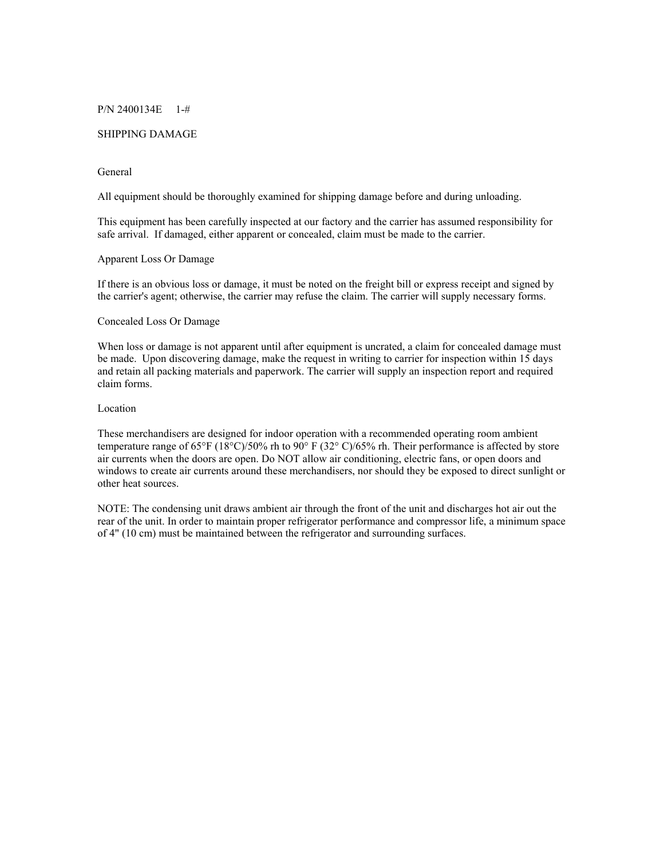### P/N 2400134E 1-#

### SHIPPING DAMAGE

### General

All equipment should be thoroughly examined for shipping damage before and during unloading.

This equipment has been carefully inspected at our factory and the carrier has assumed responsibility for safe arrival. If damaged, either apparent or concealed, claim must be made to the carrier.

# Apparent Loss Or Damage

If there is an obvious loss or damage, it must be noted on the freight bill or express receipt and signed by the carrier's agent; otherwise, the carrier may refuse the claim. The carrier will supply necessary forms.

### Concealed Loss Or Damage

When loss or damage is not apparent until after equipment is uncrated, a claim for concealed damage must be made. Upon discovering damage, make the request in writing to carrier for inspection within 15 days and retain all packing materials and paperwork. The carrier will supply an inspection report and required claim forms.

### Location

These merchandisers are designed for indoor operation with a recommended operating room ambient temperature range of 65°F (18°C)/50% rh to 90° F (32° C)/65% rh. Their performance is affected by store air currents when the doors are open. Do NOT allow air conditioning, electric fans, or open doors and windows to create air currents around these merchandisers, nor should they be exposed to direct sunlight or other heat sources.

NOTE: The condensing unit draws ambient air through the front of the unit and discharges hot air out the rear of the unit. In order to maintain proper refrigerator performance and compressor life, a minimum space of 4" (10 cm) must be maintained between the refrigerator and surrounding surfaces.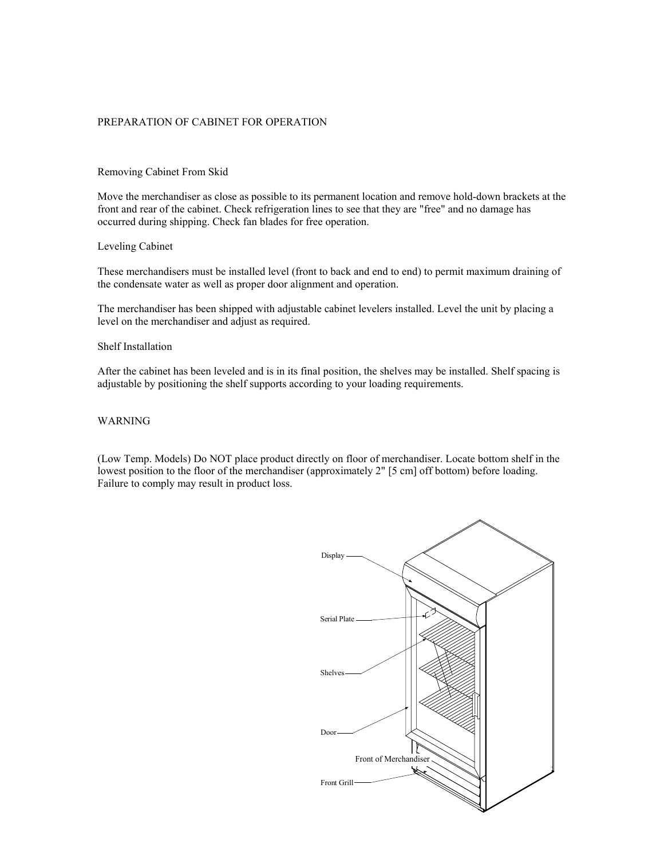### PREPARATION OF CABINET FOR OPERATION

### Removing Cabinet From Skid

Move the merchandiser as close as possible to its permanent location and remove hold-down brackets at the front and rear of the cabinet. Check refrigeration lines to see that they are "free" and no damage has occurred during shipping. Check fan blades for free operation.

### Leveling Cabinet

These merchandisers must be installed level (front to back and end to end) to permit maximum draining of the condensate water as well as proper door alignment and operation.

The merchandiser has been shipped with adjustable cabinet levelers installed. Level the unit by placing a level on the merchandiser and adjust as required.

### Shelf Installation

After the cabinet has been leveled and is in its final position, the shelves may be installed. Shelf spacing is adjustable by positioning the shelf supports according to your loading requirements.

### WARNING

(Low Temp. Models) Do NOT place product directly on floor of merchandiser. Locate bottom shelf in the lowest position to the floor of the merchandiser (approximately 2" [5 cm] off bottom) before loading. Failure to comply may result in product loss.

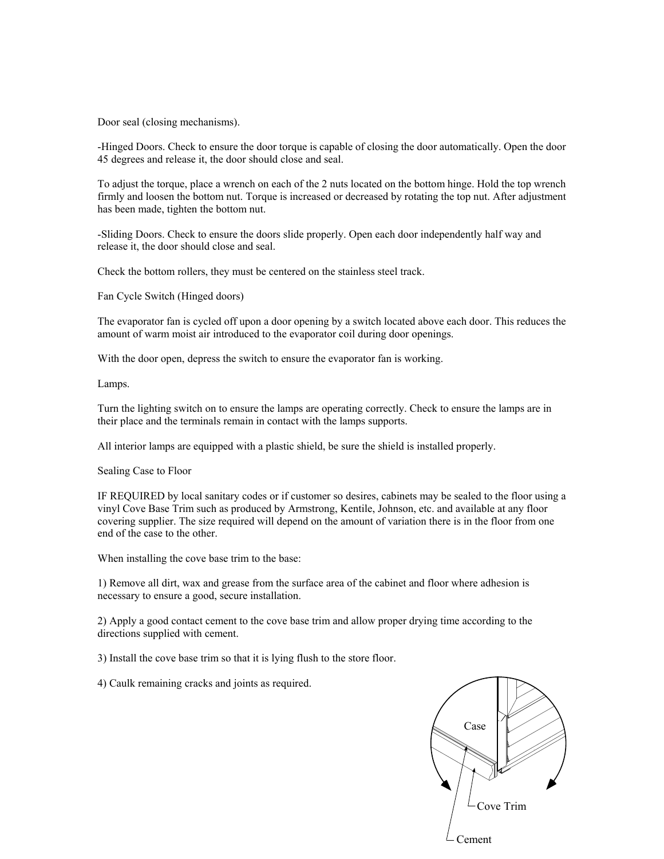Door seal (closing mechanisms).

-Hinged Doors. Check to ensure the door torque is capable of closing the door automatically. Open the door 45 degrees and release it, the door should close and seal.

To adjust the torque, place a wrench on each of the 2 nuts located on the bottom hinge. Hold the top wrench firmly and loosen the bottom nut. Torque is increased or decreased by rotating the top nut. After adjustment has been made, tighten the bottom nut.

-Sliding Doors. Check to ensure the doors slide properly. Open each door independently half way and release it, the door should close and seal.

Check the bottom rollers, they must be centered on the stainless steel track.

Fan Cycle Switch (Hinged doors)

The evaporator fan is cycled off upon a door opening by a switch located above each door. This reduces the amount of warm moist air introduced to the evaporator coil during door openings.

With the door open, depress the switch to ensure the evaporator fan is working.

Lamps.

Turn the lighting switch on to ensure the lamps are operating correctly. Check to ensure the lamps are in their place and the terminals remain in contact with the lamps supports.

All interior lamps are equipped with a plastic shield, be sure the shield is installed properly.

Sealing Case to Floor

IF REQUIRED by local sanitary codes or if customer so desires, cabinets may be sealed to the floor using a vinyl Cove Base Trim such as produced by Armstrong, Kentile, Johnson, etc. and available at any floor covering supplier. The size required will depend on the amount of variation there is in the floor from one end of the case to the other.

When installing the cove base trim to the base:

1) Remove all dirt, wax and grease from the surface area of the cabinet and floor where adhesion is necessary to ensure a good, secure installation.

2) Apply a good contact cement to the cove base trim and allow proper drying time according to the directions supplied with cement.

3) Install the cove base trim so that it is lying flush to the store floor.

4) Caulk remaining cracks and joints as required.

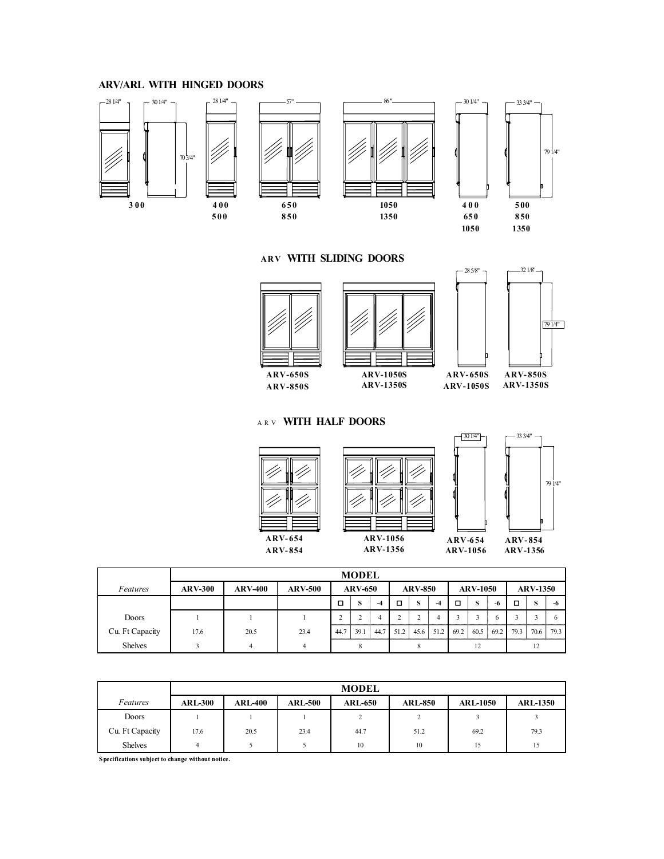# **ARV/ARL WITH HINGED DOORS**



### **ARV WITH SLIDING DOORS**



# **ARV- 850S**  $\frac{1}{7914}$  $-285/8"$   $-321/8"$

ARV **WITH HALF DOORS**







|                 | <b>MODEL</b>   |                |                |                |      |      |      |      |                       |      |      |                                      |      |      |                 |  |
|-----------------|----------------|----------------|----------------|----------------|------|------|------|------|-----------------------|------|------|--------------------------------------|------|------|-----------------|--|
| Features        | <b>ARV-300</b> | <b>ARV-400</b> | <b>ARV-500</b> | <b>ARV-650</b> |      |      |      |      | <b>ARV-850</b>        |      |      | <b>ARV-1050</b>                      |      |      | <b>ARV-1350</b> |  |
|                 |                |                |                | о              | S    | -4   | □    | S    | $-4$                  | о    | S    | -6                                   | п    | s    | -6              |  |
| Doors           |                |                |                |                |      | 4    | ◠    | n    | 4                     |      |      | 6                                    |      |      | 6               |  |
| Cu. Ft Capacity | 17.6           | 20.5           | 23.4           | 44.7           | 39.1 | 44.7 | 51.2 | 45.6 | 51.2<br>_____________ | 69.2 | 60.5 | 69.2<br><b>CONTRACTOR CONTRACTOR</b> | 79.3 | 70.6 | 79.3            |  |
| <b>Shelves</b>  |                | 4              | 4              |                |      |      |      |      |                       | 12   |      |                                      | 12   |      |                 |  |

|                 | <b>MODEL</b>   |                |                |                        |                |                 |                 |  |  |  |  |
|-----------------|----------------|----------------|----------------|------------------------|----------------|-----------------|-----------------|--|--|--|--|
| Features        | <b>ARL-300</b> | <b>ARL-400</b> | <b>ARL-500</b> | <b>ARL-650</b>         | <b>ARL-850</b> | <b>ARL-1050</b> | <b>ARL-1350</b> |  |  |  |  |
| Doors           |                |                |                | $\mathbf{\hat{}}$<br>∠ |                |                 |                 |  |  |  |  |
| Cu. Ft Capacity | 17.6           | 20.5           | 23.4           | 44.7                   | 51.2           | 69.2            | 79.3            |  |  |  |  |
| <b>Shelves</b>  |                |                |                | 10                     | 10             | 15              | 15              |  |  |  |  |

**Specifications subject to change without notice.**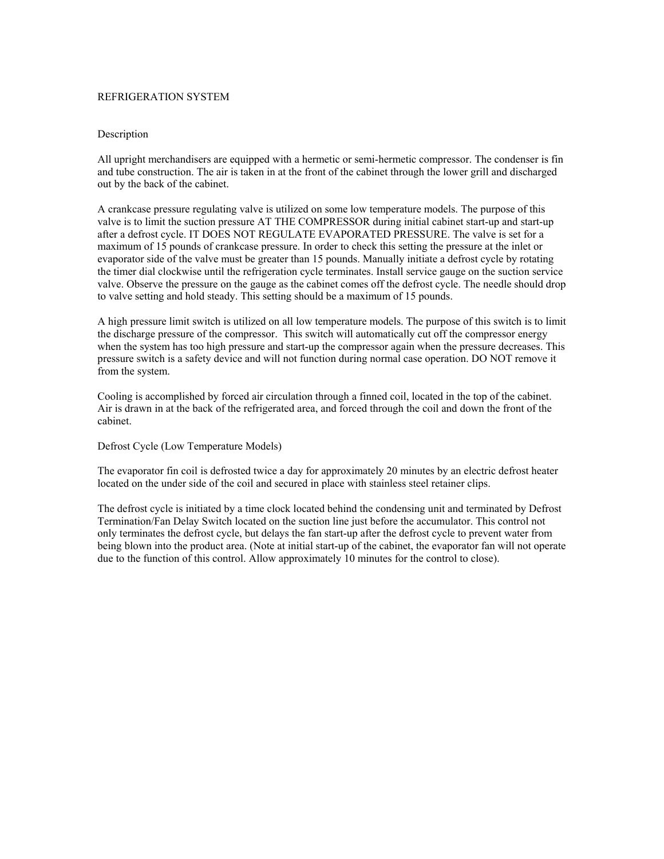### REFRIGERATION SYSTEM

### Description

All upright merchandisers are equipped with a hermetic or semi-hermetic compressor. The condenser is fin and tube construction. The air is taken in at the front of the cabinet through the lower grill and discharged out by the back of the cabinet.

A crankcase pressure regulating valve is utilized on some low temperature models. The purpose of this valve is to limit the suction pressure AT THE COMPRESSOR during initial cabinet start-up and start-up after a defrost cycle. IT DOES NOT REGULATE EVAPORATED PRESSURE. The valve is set for a maximum of 15 pounds of crankcase pressure. In order to check this setting the pressure at the inlet or evaporator side of the valve must be greater than 15 pounds. Manually initiate a defrost cycle by rotating the timer dial clockwise until the refrigeration cycle terminates. Install service gauge on the suction service valve. Observe the pressure on the gauge as the cabinet comes off the defrost cycle. The needle should drop to valve setting and hold steady. This setting should be a maximum of 15 pounds.

A high pressure limit switch is utilized on all low temperature models. The purpose of this switch is to limit the discharge pressure of the compressor. This switch will automatically cut off the compressor energy when the system has too high pressure and start-up the compressor again when the pressure decreases. This pressure switch is a safety device and will not function during normal case operation. DO NOT remove it from the system.

Cooling is accomplished by forced air circulation through a finned coil, located in the top of the cabinet. Air is drawn in at the back of the refrigerated area, and forced through the coil and down the front of the cabinet.

Defrost Cycle (Low Temperature Models)

The evaporator fin coil is defrosted twice a day for approximately 20 minutes by an electric defrost heater located on the under side of the coil and secured in place with stainless steel retainer clips.

The defrost cycle is initiated by a time clock located behind the condensing unit and terminated by Defrost Termination/Fan Delay Switch located on the suction line just before the accumulator. This control not only terminates the defrost cycle, but delays the fan start-up after the defrost cycle to prevent water from being blown into the product area. (Note at initial start-up of the cabinet, the evaporator fan will not operate due to the function of this control. Allow approximately 10 minutes for the control to close).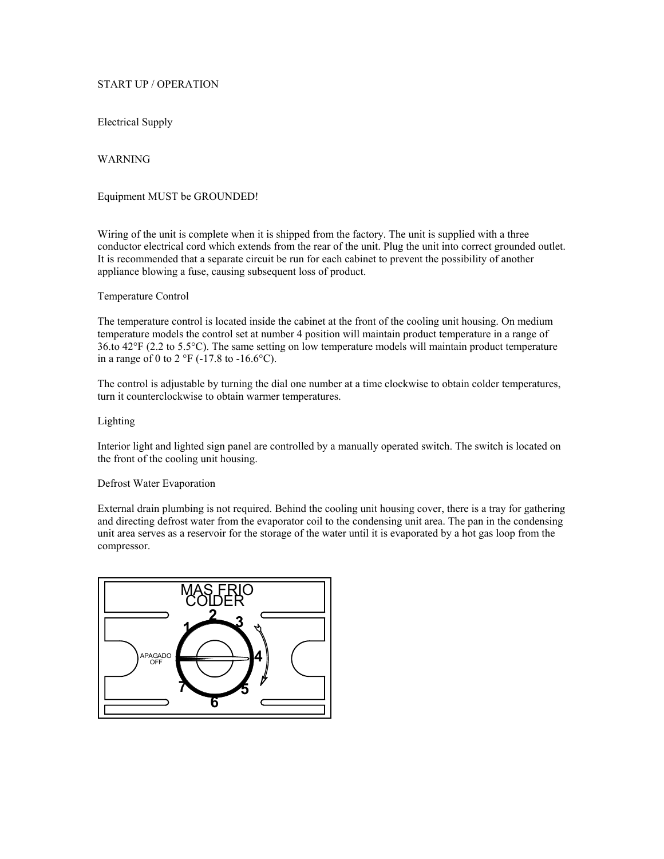# START UP / OPERATION

Electrical Supply

WARNING

Equipment MUST be GROUNDED!

Wiring of the unit is complete when it is shipped from the factory. The unit is supplied with a three conductor electrical cord which extends from the rear of the unit. Plug the unit into correct grounded outlet. It is recommended that a separate circuit be run for each cabinet to prevent the possibility of another appliance blowing a fuse, causing subsequent loss of product.

### Temperature Control

The temperature control is located inside the cabinet at the front of the cooling unit housing. On medium temperature models the control set at number 4 position will maintain product temperature in a range of 36.to 42°F (2.2 to 5.5°C). The same setting on low temperature models will maintain product temperature in a range of 0 to 2  $\mathrm{^{\circ}F}$  (-17.8 to -16.6 $\mathrm{^{\circ}C}$ ).

The control is adjustable by turning the dial one number at a time clockwise to obtain colder temperatures, turn it counterclockwise to obtain warmer temperatures.

### Lighting

Interior light and lighted sign panel are controlled by a manually operated switch. The switch is located on the front of the cooling unit housing.

### Defrost Water Evaporation

External drain plumbing is not required. Behind the cooling unit housing cover, there is a tray for gathering and directing defrost water from the evaporator coil to the condensing unit area. The pan in the condensing unit area serves as a reservoir for the storage of the water until it is evaporated by a hot gas loop from the compressor.